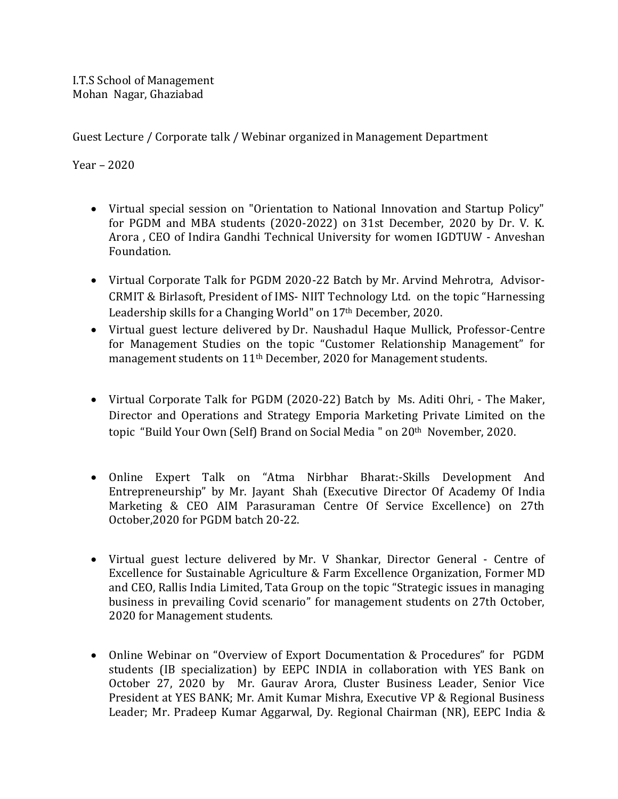Guest Lecture / Corporate talk / Webinar organized in Management Department

Year – 2020

- Virtual special session on "Orientation to National Innovation and Startup Policy" for PGDM and MBA students (2020-2022) on 31st December, 2020 by Dr. V. K. Arora , CEO of Indira Gandhi Technical University for women IGDTUW - Anveshan Foundation.
- Virtual Corporate Talk for PGDM 2020-22 Batch by Mr. Arvind Mehrotra, Advisor-CRMIT & Birlasoft, President of IMS- NIIT Technology Ltd. on the topic "Harnessing Leadership skills for a Changing World" on 17<sup>th</sup> December, 2020.
- Virtual guest lecture delivered by Dr. Naushadul Haque Mullick, Professor-Centre for Management Studies on the topic "Customer Relationship Management" for management students on 11<sup>th</sup> December, 2020 for Management students.
- Virtual Corporate Talk for PGDM (2020-22) Batch by Ms. Aditi Ohri, The Maker, Director and Operations and Strategy Emporia Marketing Private Limited on the topic "Build Your Own (Self) Brand on Social Media " on 20th November, 2020.
- Online Expert Talk on "Atma Nirbhar Bharat:-Skills Development And Entrepreneurship" by Mr. Jayant Shah (Executive Director Of Academy Of India Marketing & CEO AIM Parasuraman Centre Of Service Excellence) on 27th October,2020 for PGDM batch 20-22.
- Virtual guest lecture delivered by Mr. V Shankar, Director General Centre of Excellence for Sustainable Agriculture & Farm Excellence Organization, Former MD and CEO, Rallis India Limited, Tata Group on the topic "Strategic issues in managing business in prevailing Covid scenario" for management students on 27th October, 2020 for Management students.
- Online Webinar on "Overview of Export Documentation & Procedures" for PGDM students (IB specialization) by EEPC INDIA in collaboration with YES Bank on October 27, 2020 by Mr. Gaurav Arora, Cluster Business Leader, Senior Vice President at YES BANK; Mr. Amit Kumar Mishra, Executive VP & Regional Business Leader; Mr. Pradeep Kumar Aggarwal, Dy. Regional Chairman (NR), EEPC India &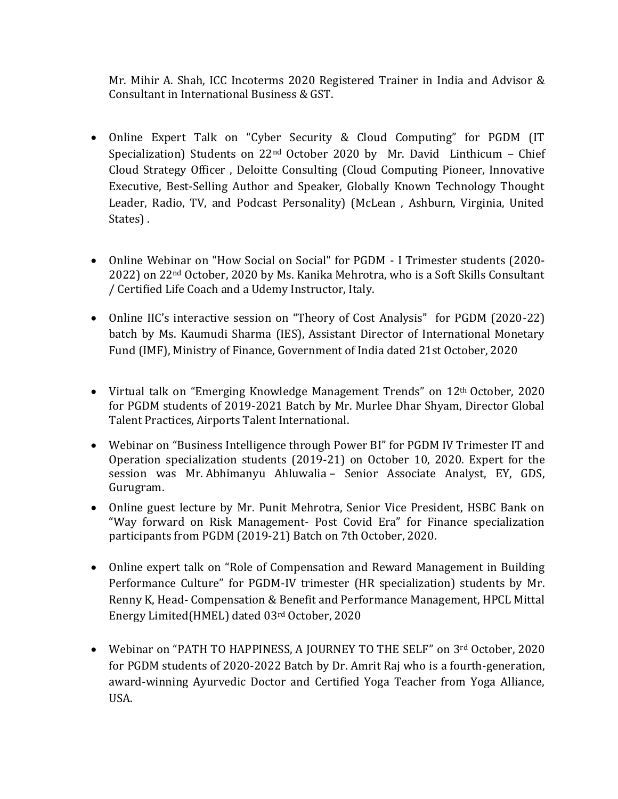Mr. Mihir A. Shah, ICC Incoterms 2020 Registered Trainer in India and Advisor & Consultant in International Business & GST.

- Online Expert Talk on "Cyber Security & Cloud Computing" for PGDM (IT Specialization) Students on  $22<sup>nd</sup>$  October 2020 by Mr. David Linthicum – Chief Cloud Strategy Officer , Deloitte Consulting (Cloud Computing Pioneer, Innovative Executive, Best-Selling Author and Speaker, Globally Known Technology Thought Leader, Radio, TV, and Podcast Personality) (McLean , Ashburn, Virginia, United States) .
- Online Webinar on "How Social on Social" for PGDM I Trimester students (2020- 2022) on 22nd October, 2020 by Ms. Kanika Mehrotra, who is a Soft Skills Consultant / Certified Life Coach and a Udemy Instructor, Italy.
- Online IIC's interactive session on "Theory of Cost Analysis" for PGDM (2020-22) batch by Ms. Kaumudi Sharma (IES), Assistant Director of International Monetary Fund (IMF), Ministry of Finance, Government of India dated 21st October, 2020
- Virtual talk on "Emerging Knowledge Management Trends" on 12<sup>th</sup> October, 2020 for PGDM students of 2019-2021 Batch by Mr. Murlee Dhar Shyam, Director Global Talent Practices, Airports Talent International.
- Webinar on "Business Intelligence through Power BI" for PGDM IV Trimester IT and Operation specialization students (2019-21) on October 10, 2020. Expert for the session was Mr. Abhimanyu Ahluwalia – Senior Associate Analyst, EY, GDS, Gurugram.
- Online guest lecture by Mr. Punit Mehrotra, Senior Vice President, HSBC Bank on "Way forward on Risk Management- Post Covid Era" for Finance specialization participants from PGDM (2019-21) Batch on 7th October, 2020.
- Online expert talk on "Role of Compensation and Reward Management in Building Performance Culture" for PGDM-IV trimester (HR specialization) students by Mr. Renny K, Head- Compensation & Benefit and Performance Management, HPCL Mittal Energy Limited(HMEL) dated 03rd October, 2020
- Webinar on "PATH TO HAPPINESS, A JOURNEY TO THE SELF" on 3rd October, 2020 for PGDM students of 2020-2022 Batch by Dr. Amrit Raj who is a fourth-generation, award-winning Ayurvedic Doctor and Certified Yoga Teacher from Yoga Alliance, USA.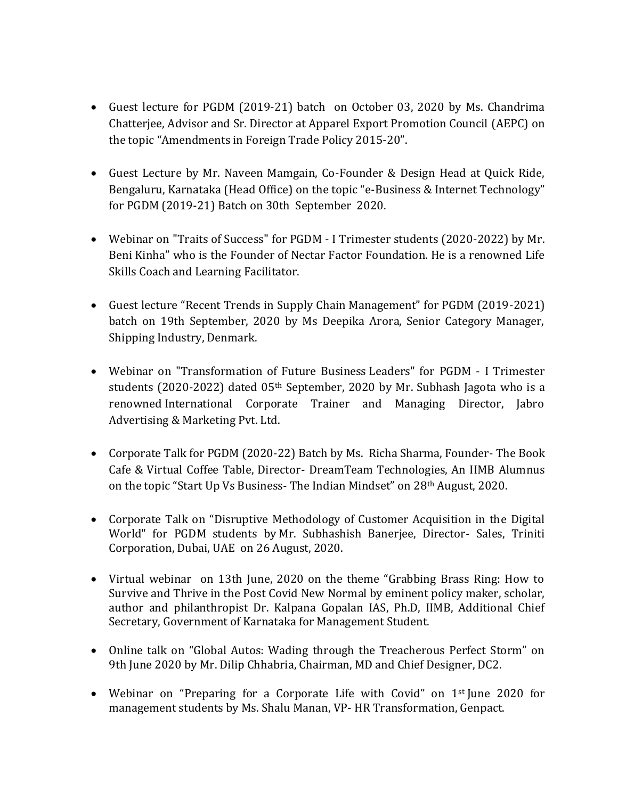- Guest lecture for PGDM (2019-21) batch on October 03, 2020 by Ms. Chandrima Chatterjee, Advisor and Sr. Director at Apparel Export Promotion Council (AEPC) on the topic "Amendments in Foreign Trade Policy 2015-20".
- Guest Lecture by Mr. Naveen Mamgain, Co-Founder & Design Head at Quick Ride, Bengaluru, Karnataka (Head Office) on the topic "e-Business & Internet Technology" for PGDM (2019-21) Batch on 30th September 2020.
- Webinar on "Traits of Success" for PGDM I Trimester students (2020-2022) by Mr. Beni Kinha" who is the Founder of Nectar Factor Foundation. He is a renowned Life Skills Coach and Learning Facilitator.
- Guest lecture "Recent Trends in Supply Chain Management" for PGDM (2019-2021) batch on 19th September, 2020 by Ms Deepika Arora, Senior Category Manager, Shipping Industry, Denmark.
- Webinar on "Transformation of Future Business Leaders" for PGDM I Trimester students (2020-2022) dated 05<sup>th</sup> September, 2020 by Mr. Subhash Jagota who is a renowned International Corporate Trainer and Managing Director, Jabro Advertising & Marketing Pvt. Ltd.
- Corporate Talk for PGDM (2020-22) Batch by Ms. Richa Sharma, Founder- The Book Cafe & Virtual Coffee Table, Director- DreamTeam Technologies, An IIMB Alumnus on the topic "Start Up Vs Business- The Indian Mindset" on 28th August, 2020.
- Corporate Talk on "Disruptive Methodology of Customer Acquisition in the Digital World" for PGDM students by Mr. Subhashish Banerjee, Director- Sales, Triniti Corporation, Dubai, UAE on 26 August, 2020.
- Virtual webinar on 13th June, 2020 on the theme "Grabbing Brass Ring: How to Survive and Thrive in the Post Covid New Normal by eminent policy maker, scholar, author and philanthropist Dr. Kalpana Gopalan IAS, Ph.D, IIMB, Additional Chief Secretary, Government of Karnataka for Management Student.
- Online talk on "Global Autos: Wading through the Treacherous Perfect Storm" on 9th June 2020 by Mr. Dilip Chhabria, Chairman, MD and Chief Designer, DC2.
- Webinar on "Preparing for a Corporate Life with Covid" on 1<sup>st</sup> June 2020 for management students by Ms. Shalu Manan, VP- HR Transformation, Genpact.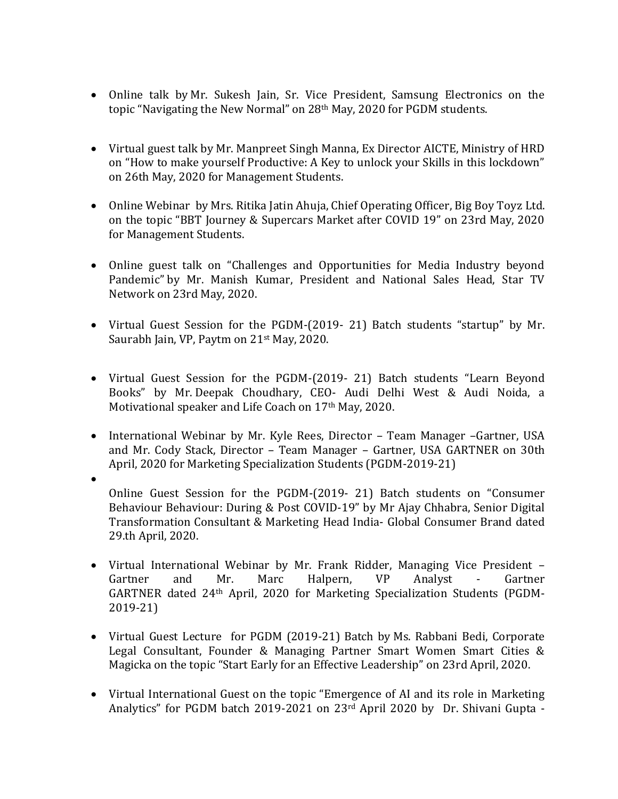- Online talk by Mr. Sukesh Jain, Sr. Vice President, Samsung Electronics on the topic "Navigating the New Normal" on 28<sup>th</sup> May, 2020 for PGDM students.
- Virtual guest talk by Mr. Manpreet Singh Manna, Ex Director AICTE, Ministry of HRD on "How to make yourself Productive: A Key to unlock your Skills in this lockdown" on 26th May, 2020 for Management Students.
- Online Webinar by Mrs. Ritika Jatin Ahuja, Chief Operating Officer, Big Boy Toyz Ltd. on the topic "BBT Journey & Supercars Market after COVID 19" on 23rd May, 2020 for Management Students.
- Online guest talk on "Challenges and Opportunities for Media Industry beyond Pandemic" by Mr. Manish Kumar, President and National Sales Head, Star TV Network on 23rd May, 2020.
- Virtual Guest Session for the PGDM-(2019- 21) Batch students "startup" by Mr. Saurabh Jain, VP, Paytm on 21st May, 2020.
- Virtual Guest Session for the PGDM-(2019- 21) Batch students "Learn Beyond Books" by Mr. Deepak Choudhary, CEO- Audi Delhi West & Audi Noida, a Motivational speaker and Life Coach on 17<sup>th</sup> May, 2020.
- International Webinar by Mr. Kyle Rees, Director Team Manager –Gartner, USA and Mr. Cody Stack, Director – Team Manager – Gartner, USA GARTNER on 30th April, 2020 for Marketing Specialization Students (PGDM-2019-21)
- $\bullet$ Online Guest Session for the PGDM-(2019- 21) Batch students on "Consumer Behaviour Behaviour: During & Post COVID-19" by Mr Ajay Chhabra, Senior Digital Transformation Consultant & Marketing Head India- Global Consumer Brand dated 29.th April, 2020.
- Virtual International Webinar by Mr. Frank Ridder, Managing Vice President Gartner and Mr. Marc Halpern, VP Analyst - Gartner GARTNER dated 24th April, 2020 for Marketing Specialization Students (PGDM-2019-21)
- Virtual Guest Lecture for PGDM (2019-21) Batch by Ms. Rabbani Bedi, Corporate Legal Consultant, Founder & Managing Partner Smart Women Smart Cities & Magicka on the topic "Start Early for an Effective Leadership" on 23rd April, 2020.
- Virtual International Guest on the topic "Emergence of AI and its role in Marketing Analytics" for PGDM batch 2019-2021 on 23<sup>rd</sup> April 2020 by Dr. Shivani Gupta -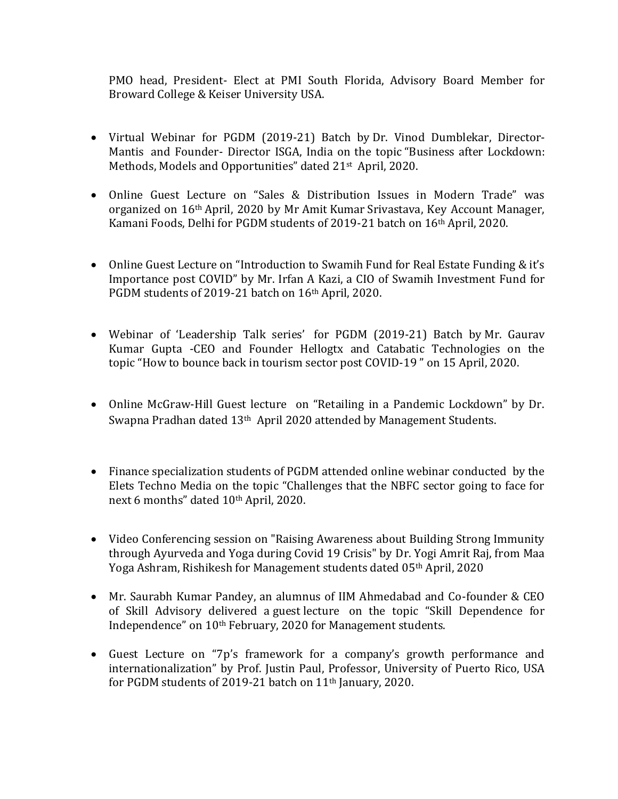PMO head, President- Elect at PMI South Florida, Advisory Board Member for Broward College & Keiser University USA.

- Virtual Webinar for PGDM (2019-21) Batch by Dr. Vinod Dumblekar, Director-Mantis and Founder- Director ISGA, India on the topic "Business after Lockdown: Methods, Models and Opportunities" dated 21<sup>st</sup> April, 2020.
- Online Guest Lecture on "Sales & Distribution Issues in Modern Trade" was organized on 16th April, 2020 by Mr Amit Kumar Srivastava, Key Account Manager, Kamani Foods, Delhi for PGDM students of 2019-21 batch on 16th April, 2020.
- Online Guest Lecture on "Introduction to Swamih Fund for Real Estate Funding & it's Importance post COVID" by Mr. Irfan A Kazi, a CIO of Swamih Investment Fund for PGDM students of 2019-21 batch on 16<sup>th</sup> April, 2020.
- Webinar of 'Leadership Talk series' for PGDM (2019-21) Batch by Mr. Gaurav Kumar Gupta -CEO and Founder Hellogtx and Catabatic Technologies on the topic "How to bounce back in tourism sector post COVID-19 " on 15 April, 2020.
- Online McGraw-Hill Guest lecture on "Retailing in a Pandemic Lockdown" by Dr. Swapna Pradhan dated 13<sup>th</sup> April 2020 attended by Management Students.
- Finance specialization students of PGDM attended online webinar conducted by the Elets Techno Media on the topic "Challenges that the NBFC sector going to face for next 6 months" dated 10th April, 2020.
- Video Conferencing session on "Raising Awareness about Building Strong Immunity through Ayurveda and Yoga during Covid 19 Crisis" by Dr. [Yogi Amrit Raj,](https://www.facebook.com/yogi.a.raj?__tn__=%2CdK-R-R&eid=ARDftZbNVW0rksmj-2kF8EY9U-2ZTGA2OQBrCqWp2isn8h0MQ3T-ONV0dKTxL4Ugug9VfAAZCjkbqTJq&fref=mentions) from Maa Yoga Ashram, Rishikesh for Management students dated 05th April, 2020
- Mr. Saurabh Kumar Pandey, an alumnus of IIM Ahmedabad and Co-founder & CEO of Skill Advisory delivered a guest lecture on the topic "Skill Dependence for Independence" on 10th February, 2020 for Management students.
- Guest Lecture on "7p's framework for a company's growth performance and internationalization" by Prof. Justin Paul, Professor, University of Puerto Rico, USA for PGDM students of 2019-21 batch on 11th January, 2020.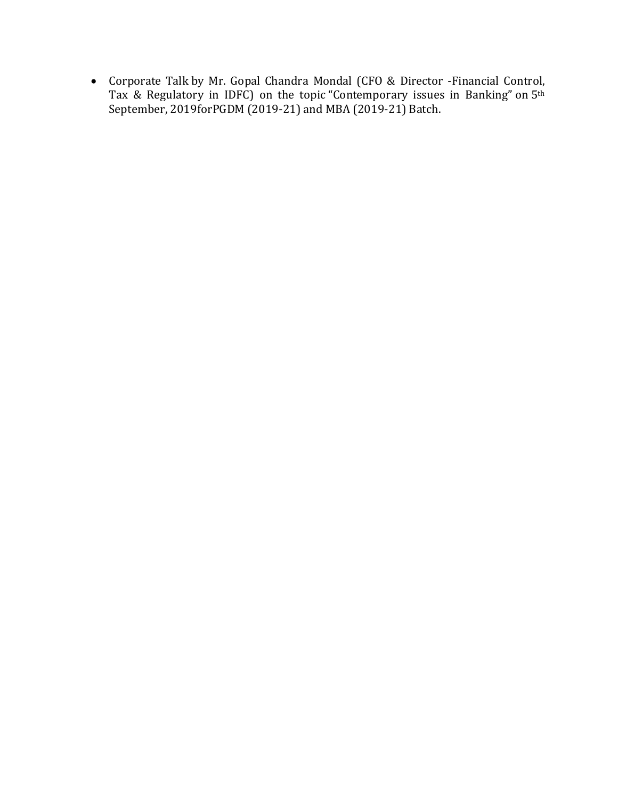Corporate Talk by Mr. Gopal Chandra Mondal (CFO & Director -Financial Control, Tax & Regulatory in IDFC) on the topic "Contemporary issues in Banking" on 5<sup>th</sup> September, 2019forPGDM (2019-21) and MBA (2019-21) Batch.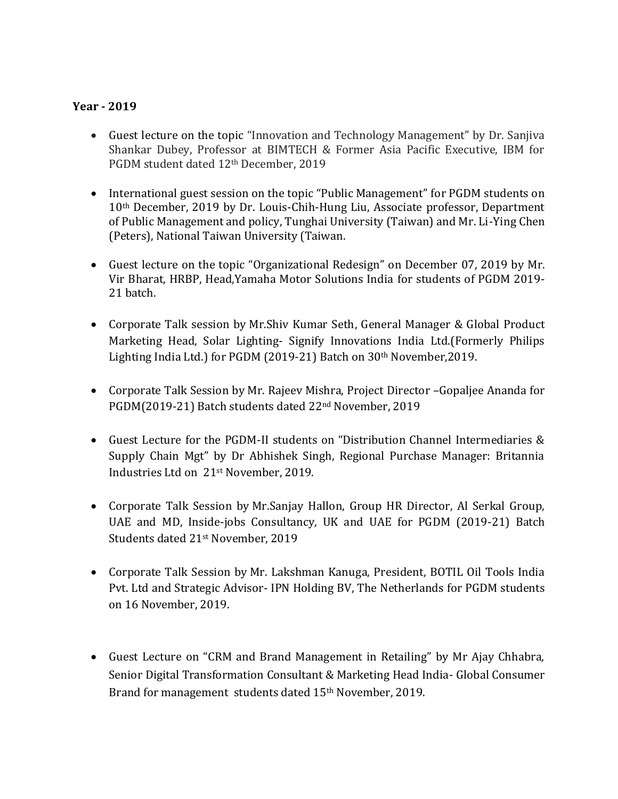## **Year - 2019**

- Guest lecture on the topic "Innovation and Technology Management" by Dr. Sanjiva Shankar Dubey, Professor at BIMTECH & Former Asia Pacific Executive, IBM for PGDM student dated 12th December, 2019
- International guest session on the topic "Public Management" for PGDM students on 10th December, 2019 by Dr. Louis-Chih-Hung Liu, Associate professor, Department of Public Management and policy, Tunghai University (Taiwan) and Mr. Li-Ying Chen (Peters), National Taiwan University (Taiwan.
- Guest lecture on the topic "Organizational Redesign" on December 07, 2019 by Mr. Vir Bharat, HRBP, Head,Yamaha Motor Solutions India for students of PGDM 2019- 21 batch.
- Corporate Talk session by Mr.Shiv Kumar Seth, General Manager & Global Product Marketing Head, Solar Lighting- Signify Innovations India Ltd.(Formerly Philips Lighting India Ltd.) for PGDM (2019-21) Batch on 30th November,2019.
- Corporate Talk Session by Mr. Rajeev Mishra, Project Director –Gopaljee Ananda for PGDM(2019-21) Batch students dated 22nd November, 2019
- Guest Lecture for the PGDM-II students on "Distribution Channel Intermediaries & Supply Chain Mgt" by Dr Abhishek Singh, Regional Purchase Manager: Britannia Industries Ltd on 21st November, 2019.
- Corporate Talk Session by Mr.Sanjay Hallon, Group HR Director, Al Serkal Group, UAE and MD, Inside-jobs Consultancy, UK and UAE for PGDM (2019-21) Batch Students dated 21st November, 2019
- Corporate Talk Session by Mr. Lakshman Kanuga, President, BOTIL Oil Tools India Pvt. Ltd and Strategic Advisor- IPN Holding BV, The Netherlands for PGDM students on 16 November, 2019.
- Guest Lecture on "CRM and Brand Management in Retailing" by Mr Ajay Chhabra, Senior Digital Transformation Consultant & Marketing Head India- Global Consumer Brand for management students dated 15<sup>th</sup> November, 2019.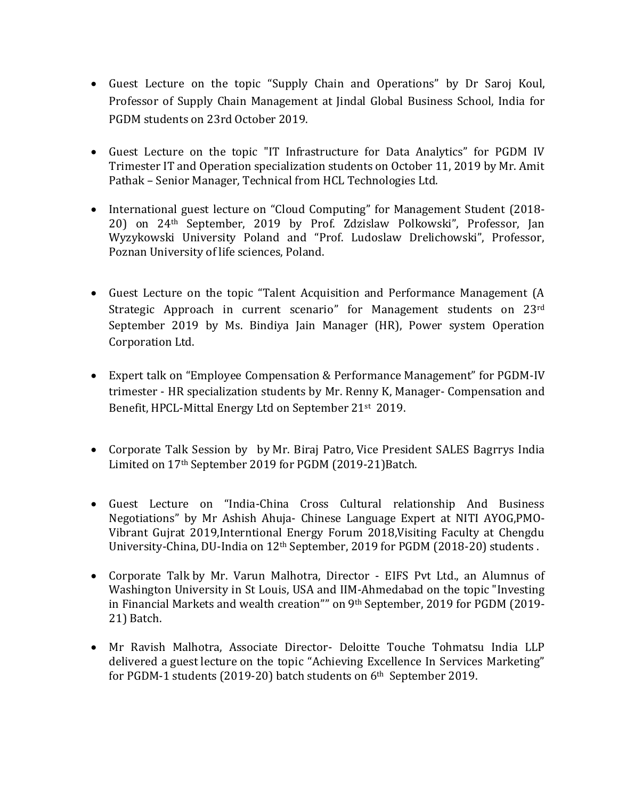- Guest Lecture on the topic "Supply Chain and Operations" by Dr Saroj Koul, Professor of Supply Chain Management at Jindal Global Business School, India for PGDM students on 23rd October 2019.
- Guest Lecture on the topic "IT Infrastructure for Data Analytics" for PGDM IV Trimester IT and Operation specialization students on October 11, 2019 by Mr. Amit Pathak – Senior Manager, Technical from HCL Technologies Ltd.
- International guest lecture on "Cloud Computing" for Management Student (2018-20) on 24th September, 2019 by Prof. Zdzislaw Polkowski", Professor, Jan Wyzykowski University Poland and "Prof. Ludoslaw Drelichowski", Professor, Poznan University of life sciences, Poland.
- Guest Lecture on the topic "Talent Acquisition and Performance Management (A Strategic Approach in current scenario" for Management students on 23rd September 2019 by Ms. Bindiya Jain Manager (HR), Power system Operation Corporation Ltd.
- Expert talk on "Employee Compensation & Performance Management" for PGDM-IV trimester - HR specialization students by Mr. Renny K, Manager- Compensation and Benefit, HPCL-Mittal Energy Ltd on September 21st 2019.
- Corporate Talk Session by by Mr. Biraj Patro, Vice President SALES Bagrrys India Limited on 17th September 2019 for PGDM (2019-21)Batch.
- Guest Lecture on "India-China Cross Cultural relationship And Business Negotiations" by Mr Ashish Ahuja- Chinese Language Expert at NITI AYOG,PMO-Vibrant Gujrat 2019,Interntional Energy Forum 2018,Visiting Faculty at Chengdu University-China, DU-India on 12th September, 2019 for PGDM (2018-20) students .
- Corporate Talk by Mr. Varun Malhotra, Director EIFS Pvt Ltd., an Alumnus of Washington University in St Louis, USA and IIM-Ahmedabad on the topic "Investing in Financial Markets and wealth creation"" on 9th September, 2019 for PGDM (2019- 21) Batch.
- Mr Ravish Malhotra, Associate Director- Deloitte Touche Tohmatsu India LLP delivered a guest lecture on the topic "Achieving Excellence In Services Marketing" for PGDM-1 students (2019-20) batch students on 6th September 2019.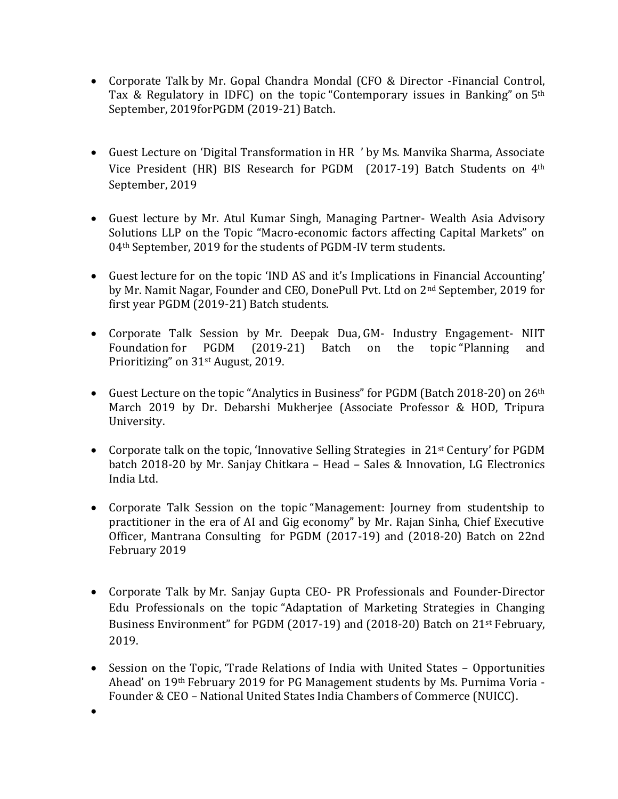- Corporate Talk by Mr. Gopal Chandra Mondal (CFO & Director -Financial Control, Tax & Regulatory in IDFC) on the topic "Contemporary issues in Banking" on 5th September, 2019forPGDM (2019-21) Batch.
- Guest Lecture on 'Digital Transformation in HR ' by Ms. Manvika Sharma, Associate Vice President (HR) BIS Research for PGDM (2017-19) Batch Students on 4th September, 2019
- Guest lecture by Mr. Atul Kumar Singh, Managing Partner- Wealth Asia Advisory Solutions LLP on the Topic "Macro-economic factors affecting Capital Markets" on 04<sup>th</sup> September, 2019 for the students of PGDM-IV term students.
- Guest lecture for on the topic 'IND AS and it's Implications in Financial Accounting' by Mr. Namit Nagar, Founder and CEO, DonePull Pvt. Ltd on 2nd September, 2019 for first year PGDM (2019-21) Batch students.
- Corporate Talk Session by Mr. Deepak Dua, GM- Industry Engagement- NIIT Foundation for PGDM (2019-21) Batch on the topic "Planning and Prioritizing" on 31st August, 2019.
- Guest Lecture on the topic "Analytics in Business" for PGDM (Batch 2018-20) on 26th March 2019 by Dr. Debarshi Mukherjee (Associate Professor & HOD, Tripura University.
- Corporate talk on the topic, 'Innovative Selling Strategies in 21st Century' for PGDM batch 2018-20 by Mr. Sanjay Chitkara – Head – Sales & Innovation, LG Electronics India Ltd.
- Corporate Talk Session on the topic "Management: Journey from studentship to practitioner in the era of AI and Gig economy" by Mr. Rajan Sinha, Chief Executive Officer, Mantrana Consulting for PGDM (2017-19) and (2018-20) Batch on 22nd February 2019
- Corporate Talk by Mr. Sanjay Gupta CEO- PR Professionals and Founder-Director Edu Professionals on the topic "Adaptation of Marketing Strategies in Changing Business Environment" for PGDM (2017-19) and (2018-20) Batch on 21st February, 2019.
- Session on the Topic, 'Trade Relations of India with United States Opportunities Ahead' on 19th February 2019 for PG Management students by Ms. Purnima Voria - Founder & CEO – National United States India Chambers of Commerce (NUICC).

 $\bullet$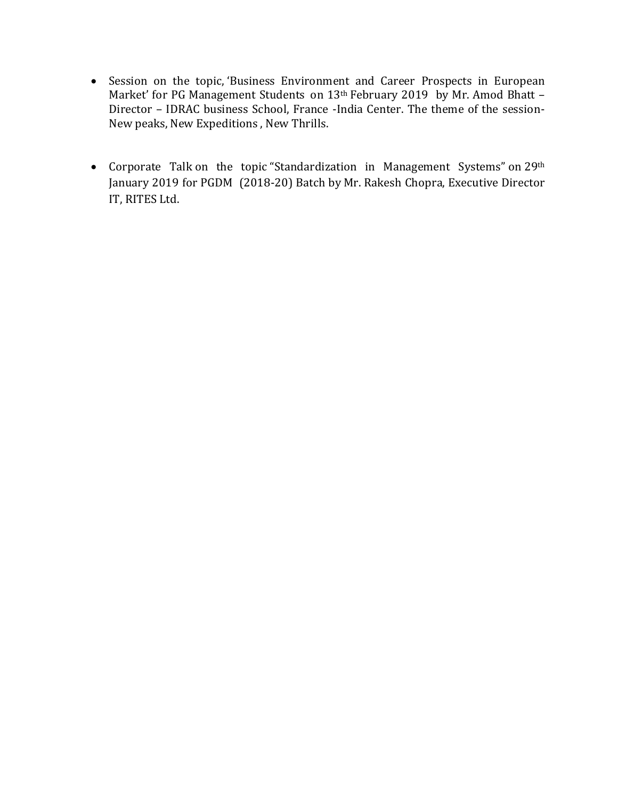- Session on the topic, 'Business Environment and Career Prospects in European Market' for PG Management Students on 13<sup>th</sup> February 2019 by Mr. Amod Bhatt -Director – IDRAC business School, France -India Center. The theme of the session-New peaks, New Expeditions , New Thrills.
- Corporate Talk on the topic "Standardization in Management Systems" on 29<sup>th</sup> January 2019 for PGDM (2018-20) Batch by Mr. Rakesh Chopra, Executive Director IT, RITES Ltd.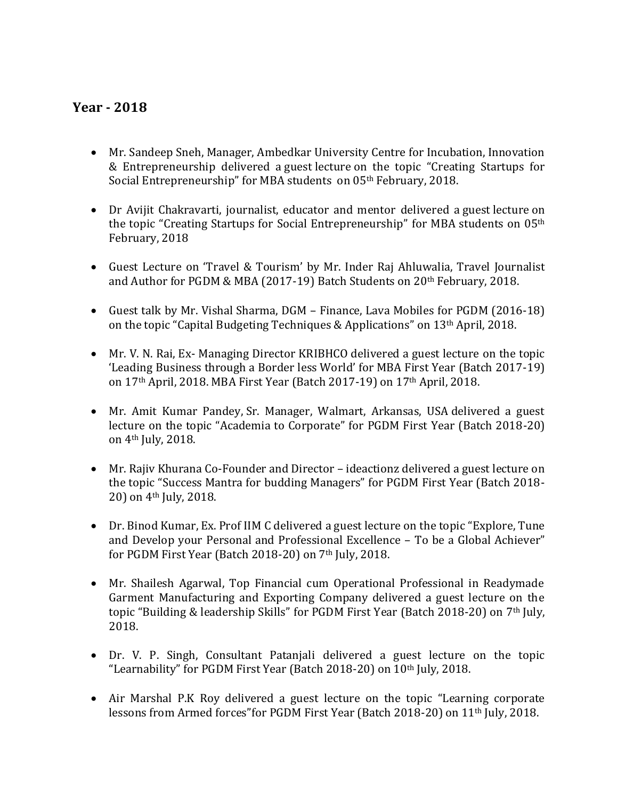## **Year - 2018**

- Mr. Sandeep Sneh, Manager, Ambedkar University Centre for Incubation, Innovation & Entrepreneurship delivered a guest lecture on the topic "Creating Startups for Social Entrepreneurship" for MBA students on 05<sup>th</sup> February, 2018.
- Dr Avijit Chakravarti, journalist, educator and mentor delivered a guest lecture on the topic "Creating Startups for Social Entrepreneurship" for MBA students on 05th February, 2018
- Guest Lecture on 'Travel & Tourism' by Mr. Inder Raj Ahluwalia, Travel Journalist and Author for PGDM & MBA (2017-19) Batch Students on 20th February, 2018.
- Guest talk by Mr. Vishal Sharma, DGM Finance, Lava Mobiles for PGDM (2016-18) on the topic "Capital Budgeting Techniques & Applications" on 13th April, 2018.
- Mr. V. N. Rai, Ex- Managing Director KRIBHCO delivered a guest lecture on the topic 'Leading Business through a Border less World' for MBA First Year (Batch 2017-19) on 17th April, 2018. MBA First Year (Batch 2017-19) on 17th April, 2018.
- Mr. Amit Kumar Pandey, Sr. Manager, Walmart, Arkansas, USA delivered a guest lecture on the topic "Academia to Corporate" for PGDM First Year (Batch 2018-20) on 4th July, 2018.
- Mr. Rajiv Khurana Co-Founder and Director ideactionz delivered a guest lecture on the topic "Success Mantra for budding Managers" for PGDM First Year (Batch 2018- 20) on 4th July, 2018.
- Dr. Binod Kumar, Ex. Prof IIM C delivered a guest lecture on the topic "Explore, Tune and Develop your Personal and Professional Excellence – To be a Global Achiever" for PGDM First Year (Batch 2018-20) on 7<sup>th</sup> July, 2018.
- Mr. Shailesh Agarwal, Top Financial cum Operational Professional in Readymade Garment Manufacturing and Exporting Company delivered a guest lecture on the topic "Building & leadership Skills" for PGDM First Year (Batch 2018-20) on 7th July, 2018.
- Dr. V. P. Singh, Consultant Patanjali delivered a guest lecture on the topic "Learnability" for PGDM First Year (Batch 2018-20) on 10<sup>th</sup> July, 2018.
- Air Marshal P.K Roy delivered a guest lecture on the topic "Learning corporate lessons from Armed forces"for PGDM First Year (Batch 2018-20) on 11th July, 2018.